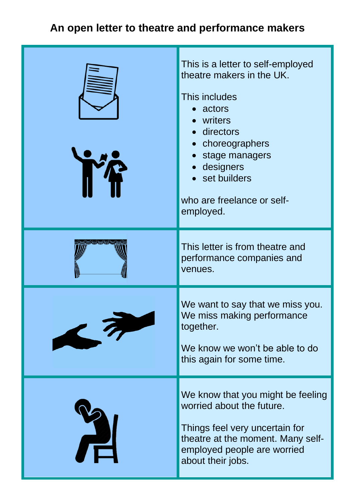## **An open letter to theatre and performance makers**

| This is a letter to self-employed<br>theatre makers in the UK.<br>This includes<br>• actors<br>• writers<br>· directors<br>• choreographers<br>• stage managers<br>designers<br>• set builders<br>who are freelance or self-<br>employed. |
|-------------------------------------------------------------------------------------------------------------------------------------------------------------------------------------------------------------------------------------------|
| This letter is from theatre and<br>performance companies and<br>venues.                                                                                                                                                                   |
| We want to say that we miss you.<br>We miss making performance<br>together.<br>We know we won't be able to do<br>this again for some time.                                                                                                |
| We know that you might be feeling<br>worried about the future.<br>Things feel very uncertain for<br>theatre at the moment. Many self-<br>employed people are worried<br>about their jobs.                                                 |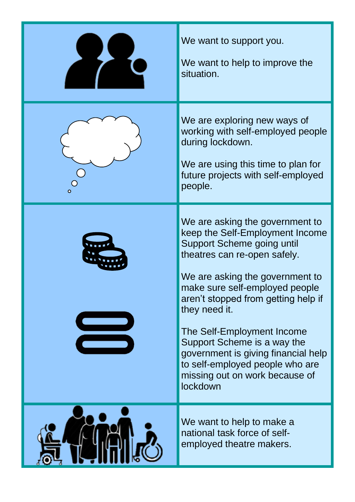| We want to support you.<br>We want to help to improve the<br>situation.                                                                                                                                                                                                                                                                                                                                                                            |
|----------------------------------------------------------------------------------------------------------------------------------------------------------------------------------------------------------------------------------------------------------------------------------------------------------------------------------------------------------------------------------------------------------------------------------------------------|
| We are exploring new ways of<br>working with self-employed people<br>during lockdown.<br>We are using this time to plan for<br>future projects with self-employed<br>people.                                                                                                                                                                                                                                                                       |
| We are asking the government to<br>keep the Self-Employment Income<br>Support Scheme going until<br>theatres can re-open safely.<br>We are asking the government to<br>make sure self-employed people<br>aren't stopped from getting help if<br>they need it.<br>The Self-Employment Income<br>Support Scheme is a way the<br>government is giving financial help<br>to self-employed people who are<br>missing out on work because of<br>lockdown |
| We want to help to make a<br>national task force of self-<br>employed theatre makers.                                                                                                                                                                                                                                                                                                                                                              |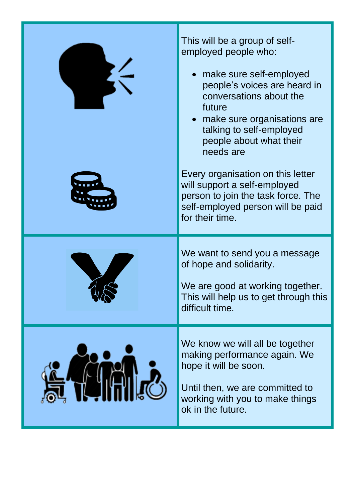| This will be a group of self-<br>employed people who:<br>make sure self-employed<br>people's voices are heard in<br>conversations about the<br>future<br>• make sure organisations are<br>talking to self-employed<br>people about what their<br>needs are |
|------------------------------------------------------------------------------------------------------------------------------------------------------------------------------------------------------------------------------------------------------------|
| Every organisation on this letter<br>will support a self-employed<br>person to join the task force. The<br>self-employed person will be paid<br>for their time.                                                                                            |
| We want to send you a message<br>of hope and solidarity.<br>We are good at working together.<br>This will help us to get through this<br>difficult time.                                                                                                   |
| We know we will all be together<br>making performance again. We<br>hope it will be soon.<br>Until then, we are committed to<br>working with you to make things<br>ok in the future.                                                                        |